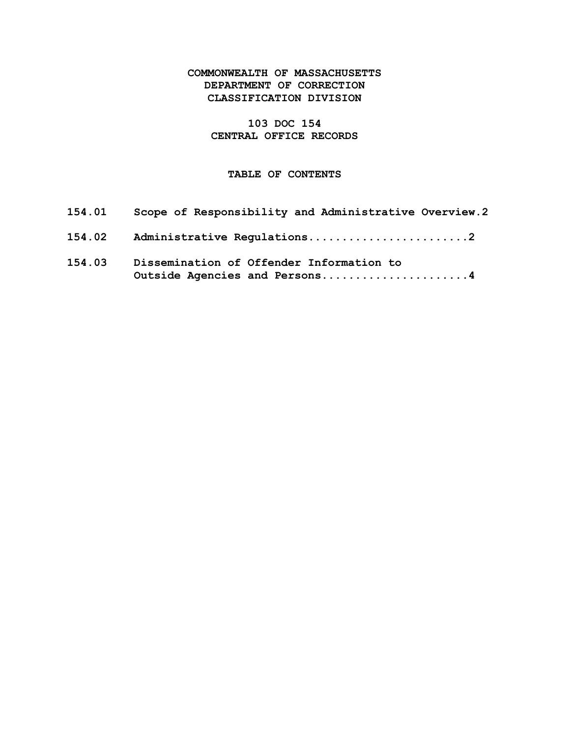# COMMONWEALTH OF MASSACHUSETTS DEPARTMENT OF CORRECTION CLASSIFICATION DIVISION

# 103 DOC 154 CENTRAL OFFICE RECORDS

## TABLE OF CONTENTS

| 154.01 | Scope of Responsibility and Administrative Overview.2                     |
|--------|---------------------------------------------------------------------------|
| 154.02 | Administrative Regulations2                                               |
| 154.03 | Dissemination of Offender Information to<br>Outside Agencies and Persons4 |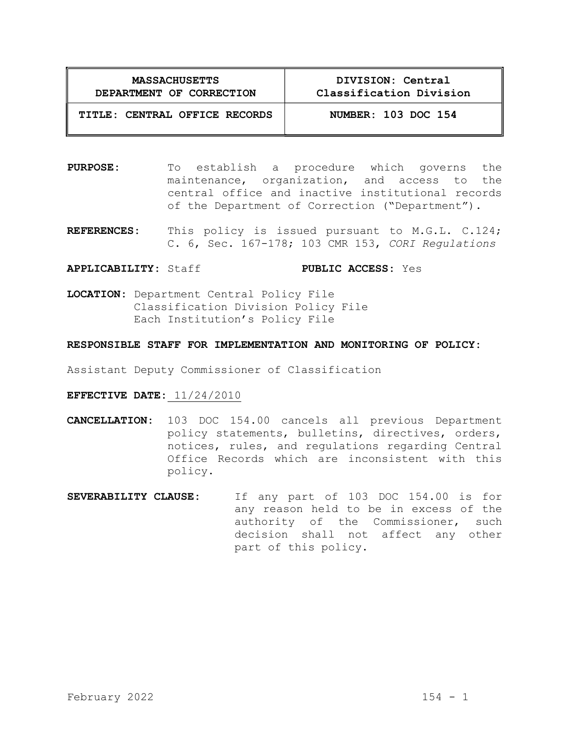| <b>MASSACHUSETTS</b>     |  |  |  |  |
|--------------------------|--|--|--|--|
| DEPARTMENT OF CORRECTION |  |  |  |  |

DIVISION: Central Classification Division

# TITLE: CENTRAL OFFICE RECORDS NUMBER: 103 DOC 154

- PURPOSE: To establish a procedure which governs the maintenance, organization, and access to the central office and inactive institutional records of the Department of Correction ("Department").
- REFERENCES: This policy is issued pursuant to M.G.L. C.124; C. 6, Sec. 167-178; 103 CMR 153, CORI Regulations

#### APPLICABILITY: Staff PUBLIC ACCESS: Yes

LOCATION: Department Central Policy File Classification Division Policy File Each Institution's Policy File

## RESPONSIBLE STAFF FOR IMPLEMENTATION AND MONITORING OF POLICY:

Assistant Deputy Commissioner of Classification

#### EFFECTIVE DATE: 11/24/2010

- CANCELLATION: 103 DOC 154.00 cancels all previous Department policy statements, bulletins, directives, orders, notices, rules, and regulations regarding Central Office Records which are inconsistent with this policy.
- SEVERABILITY CLAUSE: If any part of 103 DOC 154.00 is for any reason held to be in excess of the authority of the Commissioner, such decision shall not affect any other part of this policy.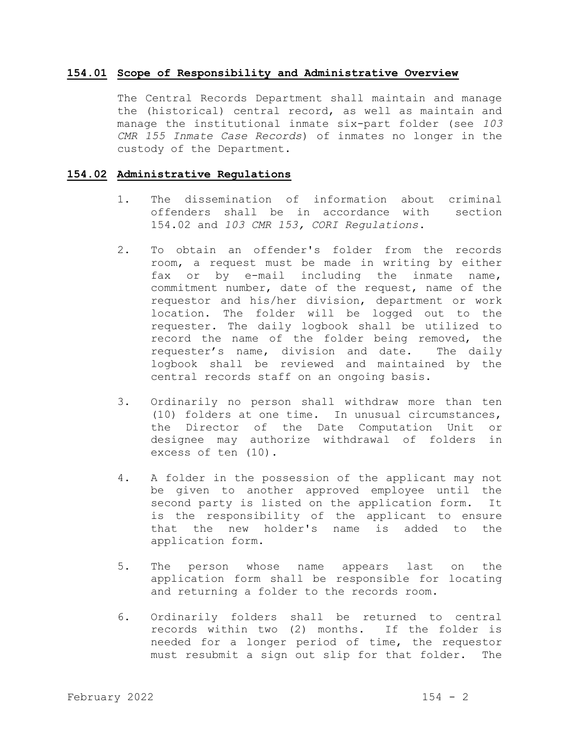#### 154.01 Scope of Responsibility and Administrative Overview

 The Central Records Department shall maintain and manage the (historical) central record, as well as maintain and manage the institutional inmate six-part folder (see 103 CMR 155 Inmate Case Records) of inmates no longer in the custody of the Department.

### 154.02 Administrative Regulations

- 1. The dissemination of information about criminal offenders shall be in accordance with section 154.02 and 103 CMR 153, CORI Regulations.
- 2. To obtain an offender's folder from the records room, a request must be made in writing by either fax or by e-mail including the inmate name, commitment number, date of the request, name of the requestor and his/her division, department or work location. The folder will be logged out to the requester. The daily logbook shall be utilized to record the name of the folder being removed, the requester's name, division and date. The daily logbook shall be reviewed and maintained by the central records staff on an ongoing basis.
- 3. Ordinarily no person shall withdraw more than ten (10) folders at one time. In unusual circumstances, the Director of the Date Computation Unit or designee may authorize withdrawal of folders in excess of ten (10).
- 4. A folder in the possession of the applicant may not be given to another approved employee until the second party is listed on the application form. It is the responsibility of the applicant to ensure that the new holder's name is added to the application form.
- 5. The person whose name appears last on the application form shall be responsible for locating and returning a folder to the records room.
- 6. Ordinarily folders shall be returned to central records within two (2) months. If the folder is needed for a longer period of time, the requestor must resubmit a sign out slip for that folder. The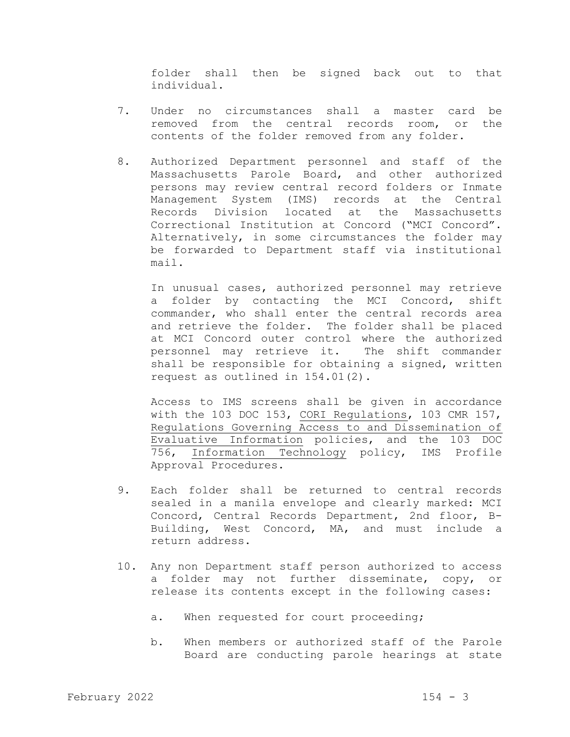folder shall then be signed back out to that individual.

- 7. Under no circumstances shall a master card be removed from the central records room, or the contents of the folder removed from any folder.
- 8. Authorized Department personnel and staff of the Massachusetts Parole Board, and other authorized persons may review central record folders or Inmate Management System (IMS) records at the Central Records Division located at the Massachusetts Correctional Institution at Concord ("MCI Concord". Alternatively, in some circumstances the folder may be forwarded to Department staff via institutional mail.

 In unusual cases, authorized personnel may retrieve a folder by contacting the MCI Concord, shift commander, who shall enter the central records area and retrieve the folder. The folder shall be placed at MCI Concord outer control where the authorized personnel may retrieve it. The shift commander shall be responsible for obtaining a signed, written request as outlined in 154.01(2).

Access to IMS screens shall be given in accordance with the 103 DOC 153, CORI Regulations, 103 CMR 157, Regulations Governing Access to and Dissemination of Evaluative Information policies, and the 103 DOC 756, Information Technology policy, IMS Profile Approval Procedures.

- 9. Each folder shall be returned to central records sealed in a manila envelope and clearly marked: MCI Concord, Central Records Department, 2nd floor, B-Building, West Concord, MA, and must include a return address.
- 10. Any non Department staff person authorized to access a folder may not further disseminate, copy, or release its contents except in the following cases:
	- a. When requested for court proceeding;
	- b. When members or authorized staff of the Parole Board are conducting parole hearings at state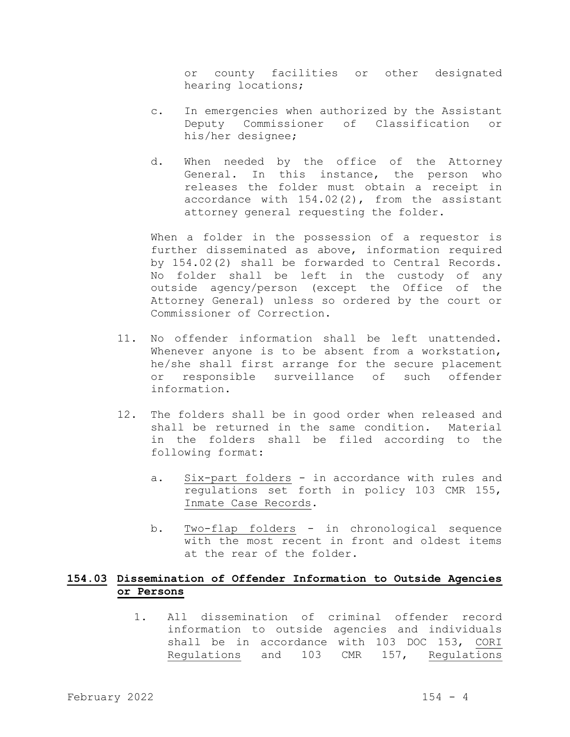or county facilities or other designated hearing locations;

- c. In emergencies when authorized by the Assistant Deputy Commissioner of Classification or his/her designee;
- d. When needed by the office of the Attorney General. In this instance, the person who releases the folder must obtain a receipt in accordance with 154.02(2), from the assistant attorney general requesting the folder.

When a folder in the possession of a requestor is further disseminated as above, information required by 154.02(2) shall be forwarded to Central Records. No folder shall be left in the custody of any outside agency/person (except the Office of the Attorney General) unless so ordered by the court or Commissioner of Correction.

- 11. No offender information shall be left unattended. Whenever anyone is to be absent from a workstation, he/she shall first arrange for the secure placement or responsible surveillance of such offender information.
- 12. The folders shall be in good order when released and shall be returned in the same condition. Material in the folders shall be filed according to the following format:
	- a. Six-part folders in accordance with rules and regulations set forth in policy 103 CMR 155, Inmate Case Records.
	- b. Two-flap folders in chronological sequence with the most recent in front and oldest items at the rear of the folder.

# 154.03 Dissemination of Offender Information to Outside Agencies or Persons

1. All dissemination of criminal offender record information to outside agencies and individuals shall be in accordance with 103 DOC 153, CORI Regulations and 103 CMR 157, Regulations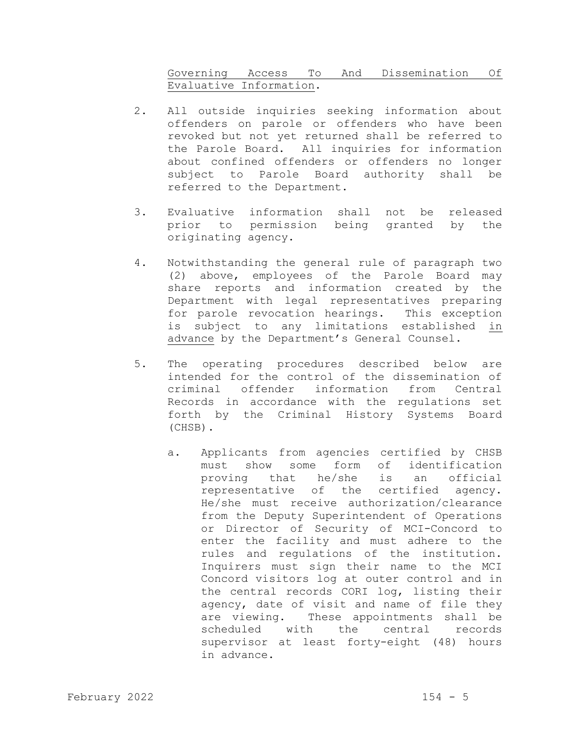# Governing Access To And Dissemination Of Evaluative Information.

- 2. All outside inquiries seeking information about offenders on parole or offenders who have been revoked but not yet returned shall be referred to the Parole Board. All inquiries for information about confined offenders or offenders no longer subject to Parole Board authority shall be referred to the Department.
- 3. Evaluative information shall not be released prior to permission being granted by the originating agency.
- 4. Notwithstanding the general rule of paragraph two (2) above, employees of the Parole Board may share reports and information created by the Department with legal representatives preparing for parole revocation hearings. This exception is subject to any limitations established in advance by the Department's General Counsel.
- 5. The operating procedures described below are intended for the control of the dissemination of criminal offender information from Central Records in accordance with the regulations set forth by the Criminal History Systems Board (CHSB).
	- a. Applicants from agencies certified by CHSB must show some form of identification proving that he/she is an official representative of the certified agency. He/she must receive authorization/clearance from the Deputy Superintendent of Operations or Director of Security of MCI-Concord to enter the facility and must adhere to the rules and regulations of the institution. Inquirers must sign their name to the MCI Concord visitors log at outer control and in the central records CORI log, listing their agency, date of visit and name of file they are viewing. These appointments shall be scheduled with the central records supervisor at least forty-eight (48) hours in advance.